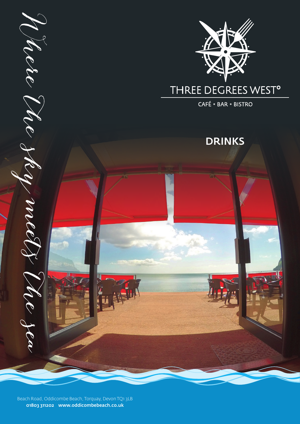

Beach Road, Oddicombe Beach, Torquay, Devon TQ1 3LB 01803 311202 www.oddicombebeach.co.uk